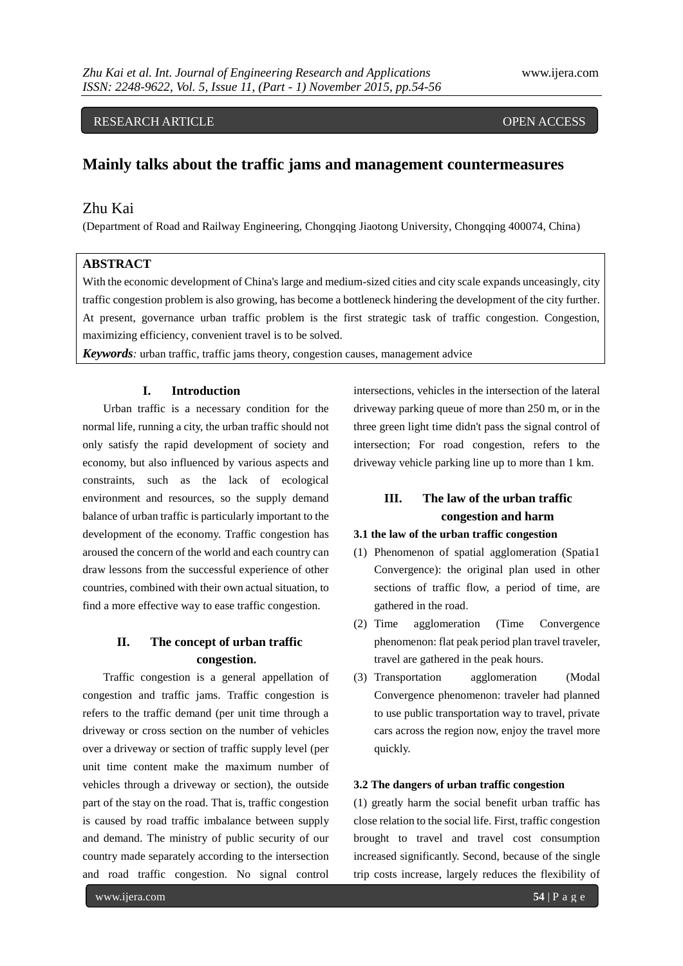# RESEARCH ARTICLE OPEN ACCESS

# **Mainly talks about the traffic jams and management countermeasures**

# Zhu Kai

(Department of Road and Railway Engineering, Chongqing Jiaotong University, Chongqing 400074, China)

### **ABSTRACT**

With the economic development of China's large and medium-sized cities and city scale expands unceasingly, city traffic congestion problem is also growing, has become a bottleneck hindering the development of the city further. At present, governance urban traffic problem is the first strategic task of traffic congestion. Congestion, maximizing efficiency, convenient travel is to be solved.

*Keywords:* urban traffic, traffic jams theory, congestion causes, management advice

### **I. Introduction**

Urban traffic is a necessary condition for the normal life, running a city, the urban traffic should not only satisfy the rapid development of society and economy, but also influenced by various aspects and constraints, such as the lack of ecological environment and resources, so the supply demand balance of urban traffic is particularly important to the development of the economy. Traffic congestion has aroused the concern of the world and each country can draw lessons from the successful experience of other countries, combined with their own actual situation, to find a more effective way to ease traffic congestion.

## **II. The concept of urban traffic congestion.**

Traffic congestion is a general appellation of congestion and traffic jams. Traffic congestion is refers to the traffic demand (per unit time through a driveway or cross section on the number of vehicles over a driveway or section of traffic supply level (per unit time content make the maximum number of vehicles through a driveway or section), the outside part of the stay on the road. That is, traffic congestion is caused by road traffic imbalance between supply and demand. The ministry of public security of our country made separately according to the intersection and road traffic congestion. No signal control

intersections, vehicles in the intersection of the lateral driveway parking queue of more than 250 m, or in the three green light time didn't pass the signal control of intersection; For road congestion, refers to the driveway vehicle parking line up to more than 1 km.

# **III. The law of the urban traffic congestion and harm**

## **3.1 the law of the urban traffic congestion**

- (1) Phenomenon of spatial agglomeration (Spatia1 Convergence): the original plan used in other sections of traffic flow, a period of time, are gathered in the road.
- (2) Time agglomeration (Time Convergence phenomenon: flat peak period plan travel traveler, travel are gathered in the peak hours.
- (3) Transportation agglomeration (Modal Convergence phenomenon: traveler had planned to use public transportation way to travel, private cars across the region now, enjoy the travel more quickly.

#### **3.2 The dangers of urban traffic congestion**

(1) greatly harm the social benefit urban traffic has close relation to the social life. First, traffic congestion brought to travel and travel cost consumption increased significantly. Second, because of the single trip costs increase, largely reduces the flexibility of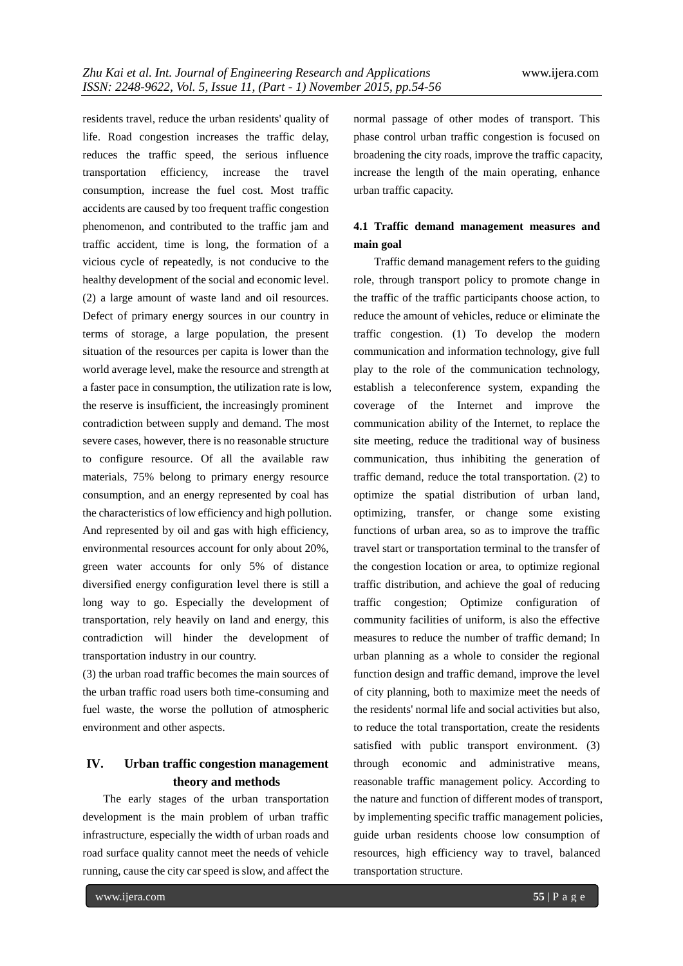residents travel, reduce the urban residents' quality of life. Road congestion increases the traffic delay, reduces the traffic speed, the serious influence transportation efficiency, increase the travel consumption, increase the fuel cost. Most traffic accidents are caused by too frequent traffic congestion phenomenon, and contributed to the traffic jam and traffic accident, time is long, the formation of a vicious cycle of repeatedly, is not conducive to the healthy development of the social and economic level. (2) a large amount of waste land and oil resources. Defect of primary energy sources in our country in terms of storage, a large population, the present situation of the resources per capita is lower than the world average level, make the resource and strength at a faster pace in consumption, the utilization rate is low, the reserve is insufficient, the increasingly prominent contradiction between supply and demand. The most severe cases, however, there is no reasonable structure to configure resource. Of all the available raw materials, 75% belong to primary energy resource consumption, and an energy represented by coal has the characteristics of low efficiency and high pollution. And represented by oil and gas with high efficiency, environmental resources account for only about 20%, green water accounts for only 5% of distance diversified energy configuration level there is still a long way to go. Especially the development of transportation, rely heavily on land and energy, this contradiction will hinder the development of transportation industry in our country.

(3) the urban road traffic becomes the main sources of the urban traffic road users both time-consuming and fuel waste, the worse the pollution of atmospheric environment and other aspects.

# **IV. Urban traffic congestion management theory and methods**

The early stages of the urban transportation development is the main problem of urban traffic infrastructure, especially the width of urban roads and road surface quality cannot meet the needs of vehicle running, cause the city car speed is slow, and affect the normal passage of other modes of transport. This phase control urban traffic congestion is focused on broadening the city roads, improve the traffic capacity, increase the length of the main operating, enhance urban traffic capacity.

# **4.1 Traffic demand management measures and main goal**

Traffic demand management refers to the guiding role, through transport policy to promote change in the traffic of the traffic participants choose action, to reduce the amount of vehicles, reduce or eliminate the traffic congestion. (1) To develop the modern communication and information technology, give full play to the role of the communication technology, establish a teleconference system, expanding the coverage of the Internet and improve the communication ability of the Internet, to replace the site meeting, reduce the traditional way of business communication, thus inhibiting the generation of traffic demand, reduce the total transportation. (2) to optimize the spatial distribution of urban land, optimizing, transfer, or change some existing functions of urban area, so as to improve the traffic travel start or transportation terminal to the transfer of the congestion location or area, to optimize regional traffic distribution, and achieve the goal of reducing traffic congestion; Optimize configuration of community facilities of uniform, is also the effective measures to reduce the number of traffic demand; In urban planning as a whole to consider the regional function design and traffic demand, improve the level of city planning, both to maximize meet the needs of the residents' normal life and social activities but also, to reduce the total transportation, create the residents satisfied with public transport environment. (3) through economic and administrative means, reasonable traffic management policy. According to the nature and function of different modes of transport, by implementing specific traffic management policies, guide urban residents choose low consumption of resources, high efficiency way to travel, balanced transportation structure.